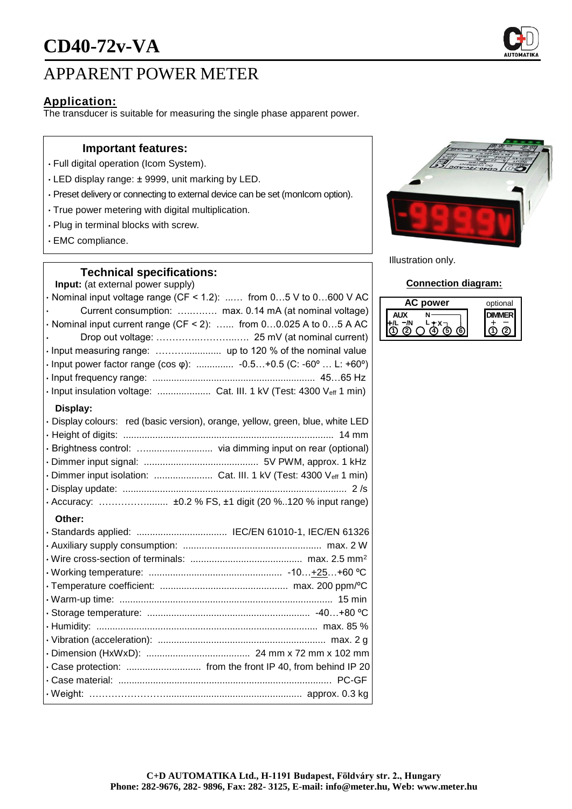

## APPARENT POWER METER

## **Application:**

The transducer is suitable for measuring the single phase apparent power.

#### **Important features:**

- Full digital operation (Icom System).
- LED display range: ± 9999, unit marking by LED.
- Preset delivery or connecting to external device can be set (monIcom option).
- True power metering with digital multiplication.
- Plug in terminal blocks with screw.
- EMC compliance.

#### **Technical specifications:**

**Input:** (at external power supply)

 $\cdot$  Nominal input voltage range (CF < 1.2): ...... from 0...5 V to 0...600 V AC • Current consumption: …..….…. max. 0.14 mA (at nominal voltage)  $\cdot$  Nominal input current range (CF < 2): ...... from 0...0.025 A to 0...5 A AC • Drop out voltage: …………..………...…. 25 mV (at nominal current) • Input measuring range: ……….............. up to 120 % of the nominal value • Input power factor range (cos φ): .............. -0.5…+0.5 (C: -60º … L: +60º) • Input frequency range: ............................................................. 45…65 Hz • Input insulation voltage: .................... Cat. III. 1 kV (Test: 4300 Veff 1 min) **Display:** • Display colours: red (basic version), orange, yellow, green, blue, white LED • Height of digits: ............................................................................... 14 mm • Brightness control: …......................... via dimming input on rear (optional) • Dimmer input signal: ........................................... 5V PWM, approx. 1 kHz • Dimmer input isolation: ........................... Cat. III. 1 kV (Test: 4300 Veff 1 min) • Display update: .................................................................................... 2 /s • Accuracy: ……………........ ±0.2 % FS, ±1 digit (20 %..120 % input range) **Other:** • Standards applied: .................................. IEC/EN 61010-1, IEC/EN 61326 • Auxiliary supply consumption: .................................................... max. 2 W • Wire cross-section of terminals: .......................................... max. 2.5 mm<sup>2</sup> • Working temperature: .................................................. -10…+25…+60 ºC • Temperature coefficient: ................................................ max. 200 ppm/ºC

• Warm-up time: ................................................................................ 15 min • Storage temperature: ............................................................. -40…+80 ºC • Humidity: ................................................................................... max. 85 % • Vibration (acceleration): ............................................................... max. 2 g • Dimension (HxWxD): ....................................... 24 mm x 72 mm x 102 mm • Case protection: ............................ from the front IP 40, from behind IP 20 • Case material: ................................................................................ PC-GF • Weight: ……………………................................................... approx. 0.3 kg



Illustration only.

#### **Connection diagram:**

| power | optional |
|-------|----------|
|       |          |